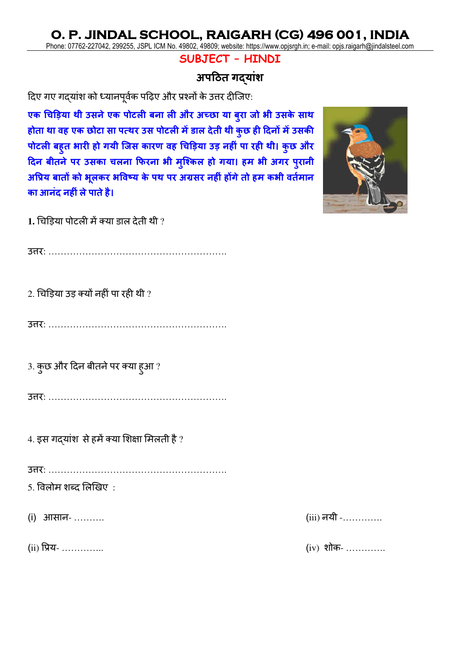Phone: 07762-227042, 299255, JSPL ICM No. 49802, 49809; website: https://www.opjsrgh.in; e-mail: opjs.raigarh@jindalsteel.com

### **SUBJECT – HINDI**

## **अपठित गद्यांश**

दिए गए गद्यांश को ध््यनपूर्वक पद़िए और प्रश्नों के उत्तर िीजिए:

**एक चिड़ि्य थी उसनेएक पोटली बनय ली और अच्छय ्य बुरय जो भी उसके सयथ होतय थय वह एक छोटय सय पत्थर उस पोटली मेंडयल देती थी कुछ ही ठदनों मेंउसकी पोटली बहुत भयरी हो ग्ी जजस कयरण वह चिड़ि्य उ़ि नहीां पय रही थी। कुछ और ठदन बीतनेपर उसकय िलनय फिरनय भी मुजककल हो ग्य। हम भी अगर पुरयनी अप्रि् बयतों को भूलकर भप्रवष्् के पथ पर अग्रसर नहीां होंगेतो हम कभी वततमयन कय आनांद नहीांलेपयतेहै।**

1. चिडिया पोटली में क्या डाल देती थी ?

उत्तर: ………………………………………………….

 $2.$  चिड़िया उड़ क्यों नहीं पा रही थी ?

उत्तर: ………………………………………………….

3. कुछ और दिन बीतने पर क्या हुआ ?

उत्तर: ………………………………………………….

 $4.$  इस गदयांश से हमें क्या शिक्षा मिलती है ?

उत्तर: ………………………………………………….

 $5.$  विलोम शब्द लिखिए $\,$  :

(i) आसान- ……….



 $(i)$  प्रिय- …………..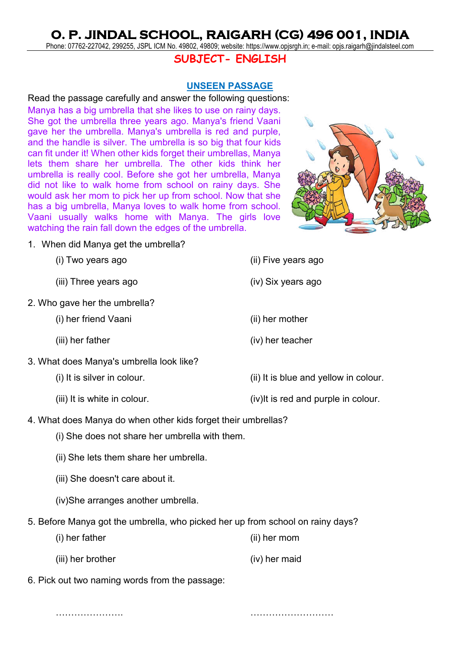Phone: 07762-227042, 299255, JSPL ICM No. 49802, 49809; website: https://www.opjsrgh.in; e-mail: opjs.raigarh@jindalsteel.com

### **SUBJECT- ENGLISH**

#### **UNSEEN PASSAGE**

Read the passage carefully and answer the following questions: Manya has a big umbrella that she likes to use on rainy days. She got the umbrella three years ago. Manya's friend Vaani gave her the umbrella. Manya's umbrella is red and purple, and the handle is silver. The umbrella is so big that four kids can fit under it! When other kids forget their umbrellas, Manya lets them share her umbrella. The other kids think her umbrella is really cool. Before she got her umbrella, Manya did not like to walk home from school on rainy days. She would ask her mom to pick her up from school. Now that she has a big umbrella, Manya loves to walk home from school. Vaani usually walks home with Manya. The girls love watching the rain fall down the edges of the umbrella.



1. When did Manya get the umbrella?

- (iii) Three years ago (iv) Six years ago
- 2. Who gave her the umbrella?
	- (i) her friend Vaani (ii) her mother
	-



- (iii) her father (iv) her teacher
- 3. What does Manya's umbrella look like?
	-
	-
	- (i) It is silver in colour. (ii) It is blue and yellow in colour.
	- (iii) It is white in colour. (iv)It is red and purple in colour.
- 4. What does Manya do when other kids forget their umbrellas?
	- (i) She does not share her umbrella with them.
	- (ii) She lets them share her umbrella.
	- (iii) She doesn't care about it.
	- (iv)She arranges another umbrella.
- 5. Before Manya got the umbrella, who picked her up from school on rainy days?
	- (i) her father (ii) her mom
	- (iii) her brother (iv) her maid
- 6. Pick out two naming words from the passage:

…………………. ………………………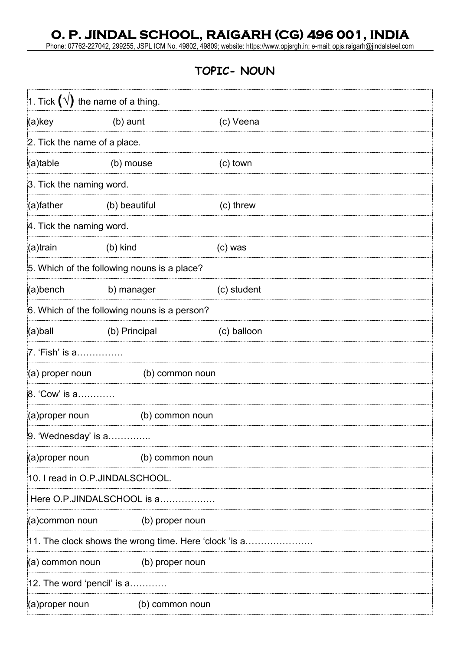Phone: 07762-227042, 299255, JSPL ICM No. 49802, 49809; website: https://www.opjsrgh.in; e-mail: opjs.raigarh@jindalsteel.com

## **TOPIC- NOUN**

| 1. Tick $(\sqrt{})$ the name of a thing. |                                                       |             |  |  |  |
|------------------------------------------|-------------------------------------------------------|-------------|--|--|--|
| (a)key                                   | (b) aunt                                              | (c) Veena   |  |  |  |
| 2. Tick the name of a place.             |                                                       |             |  |  |  |
| (a)table                                 | (b) mouse                                             | (c) town    |  |  |  |
| 3. Tick the naming word.                 |                                                       |             |  |  |  |
| (a)father                                | (b) beautiful                                         | (c) threw   |  |  |  |
| 4. Tick the naming word.                 |                                                       |             |  |  |  |
| (a)train                                 | (b) kind                                              | $(c)$ was   |  |  |  |
|                                          | 5. Which of the following nouns is a place?           |             |  |  |  |
| (a)bench                                 | b) manager                                            | (c) student |  |  |  |
|                                          | 6. Which of the following nouns is a person?          |             |  |  |  |
| (a)ball                                  | (b) Principal                                         | (c) balloon |  |  |  |
| 7. 'Fish' is a……………                      |                                                       |             |  |  |  |
| (a) proper noun<br>(b) common noun       |                                                       |             |  |  |  |
| 8. 'Cow' is a                            |                                                       |             |  |  |  |
| (a) proper noun                          | (b) common noun                                       |             |  |  |  |
| 9. 'Wednesday' is a                      |                                                       |             |  |  |  |
| (a)proper noun                           | (b) common noun                                       |             |  |  |  |
| 10. I read in O.P.JINDALSCHOOL.          |                                                       |             |  |  |  |
|                                          | Here O.P.JINDALSCHOOL is a                            |             |  |  |  |
| (a)common noun                           | (b) proper noun                                       |             |  |  |  |
|                                          | 11. The clock shows the wrong time. Here 'clock 'is a |             |  |  |  |
| (a) common noun                          | (b) proper noun                                       |             |  |  |  |
| 12. The word 'pencil' is a               |                                                       |             |  |  |  |
| (a)proper noun                           | (b) common noun                                       |             |  |  |  |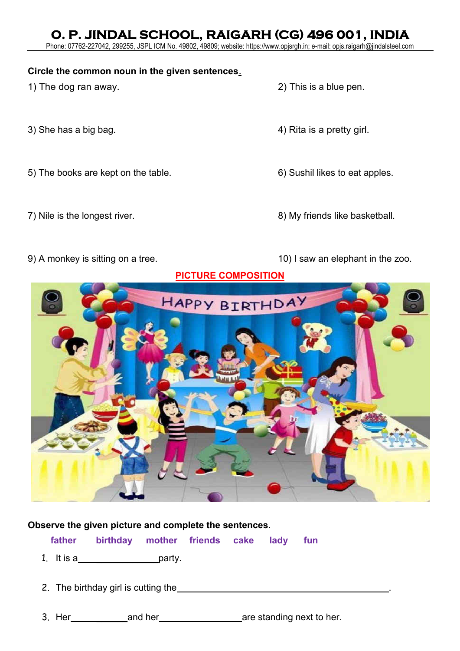Phone: 07762-227042, 299255, JSPL ICM No. 49802, 49809; website: https://www.opjsrgh.in; e-mail: opjs.raigarh@jindalsteel.com

### **Circle the common noun in the given sentences**.

- 1) The dog ran away. 2) This is a blue pen.
- 
- 5) The books are kept on the table.  $\qquad \qquad$  6) Sushil likes to eat apples.
- 
- 
- 
- 3) She has a big bag.  $\sim$  4) Rita is a pretty girl.
	-
- 7) Nile is the longest river. The same state of the state of the state of the state basketball.
- 9) A monkey is sitting on a tree. 10) I saw an elephant in the zoo.

### **PICTURE COMPOSITION**



### **Observe the given picture and complete the sentences.**

**father birthday mother friends cake lady fun**

- 1. It is a\_\_\_\_\_\_\_\_\_\_\_\_\_\_\_\_\_\_\_\_\_\_\_party.
- 2. The birthday girl is cutting the **EXALUARY 2.** The birthday girl is cutting the

3. Her \_\_\_\_\_\_and her are standing next to her.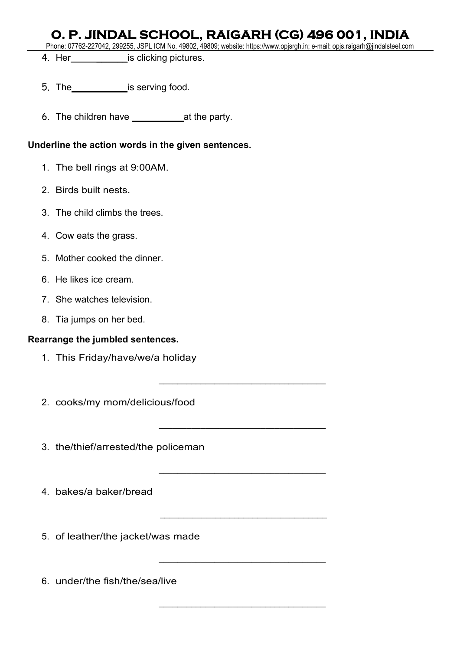Phone: 07762-227042, 299255, JSPL ICM No. 49802, 49809; website: https://www.opjsrgh.in; e-mail: opjs.raigarh@jindalsteel.com

\_\_\_\_\_\_\_\_\_\_\_\_\_\_\_\_\_\_\_\_\_\_\_\_\_\_\_\_\_\_\_\_\_\_\_\_

\_\_\_\_\_\_\_\_\_\_\_\_\_\_\_\_\_\_\_\_\_\_\_\_\_\_\_\_\_\_\_\_\_\_\_\_

\_\_\_\_\_\_\_\_\_\_\_\_\_\_\_\_\_\_\_\_\_\_\_\_\_\_\_\_\_\_\_\_\_\_\_\_

\_\_\_\_\_\_\_\_\_\_\_\_\_\_\_\_\_\_\_\_\_\_\_\_\_\_\_\_\_\_\_\_\_\_\_\_

\_\_\_\_\_\_\_\_\_\_\_\_\_\_\_\_\_\_\_\_\_\_\_\_\_\_\_\_\_\_\_\_\_\_\_\_

\_\_\_\_\_\_\_\_\_\_\_\_\_\_\_\_\_\_\_\_\_\_\_\_\_\_\_\_\_\_\_\_\_\_\_\_

- 4. Her is clicking pictures.
- 5. The \_\_\_\_\_\_\_\_\_\_\_\_\_\_is serving food.
- 6. The children have \_\_\_\_\_\_\_\_\_\_at the party.

### **Underline the action words in the given sentences.**

- 1. The bell rings at 9:00AM.
- 2. Birds built nests.
- 3. The child climbs the trees.
- 4. Cow eats the grass.
- 5. Mother cooked the dinner.
- 6. He likes ice cream.
- 7. She watches television.
- 8. Tia jumps on her bed.

### **Rearrange the jumbled sentences.**

- 1. This Friday/have/we/a holiday
- 2. cooks/my mom/delicious/food
- 3. the/thief/arrested/the policeman
- 4. bakes/a baker/bread
- 5. of leather/the jacket/was made

6. under/the fish/the/sea/live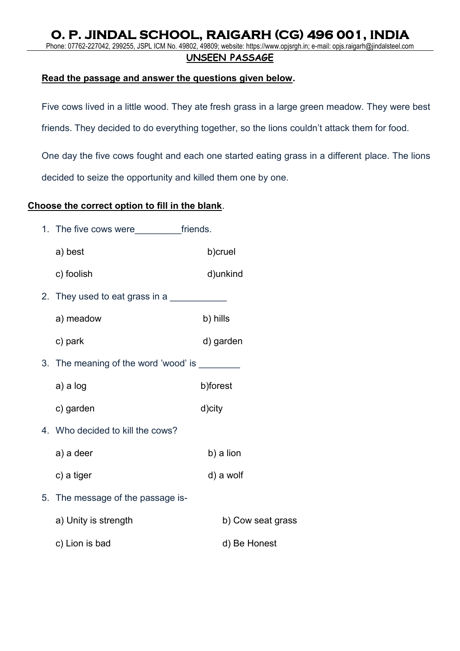Phone: 07762-227042, 299255, JSPL ICM No. 49802, 49809; website: https://www.opjsrgh.in; e-mail: opjs.raigarh@jindalsteel.com

### **UNSEEN PASSAGE**

### **Read the passage and answer the questions given below.**

Five cows lived in a little wood. They ate fresh grass in a large green meadow. They were best

friends. They decided to do everything together, so the lions couldn't attack them for food.

One day the five cows fought and each one started eating grass in a different place. The lions decided to seize the opportunity and killed them one by one.

### **Choose the correct option to fill in the blank**.

1. The five cows were friends.

| a) best                                        |          | b)cruel           |
|------------------------------------------------|----------|-------------------|
| c) foolish                                     |          | d)unkind          |
| 2. They used to eat grass in a                 |          |                   |
| a) meadow                                      | b) hills |                   |
| c) park                                        |          | d) garden         |
| 3. The meaning of the word 'wood' is _________ |          |                   |
| a) a log                                       | b)forest |                   |
| c) garden                                      | d)city   |                   |
| 4. Who decided to kill the cows?               |          |                   |
| a) a deer                                      |          | b) a lion         |
| c) a tiger                                     |          | d) a wolf         |
| 5. The message of the passage is-              |          |                   |
| a) Unity is strength                           |          | b) Cow seat grass |
| c) Lion is bad                                 |          | d) Be Honest      |
|                                                |          |                   |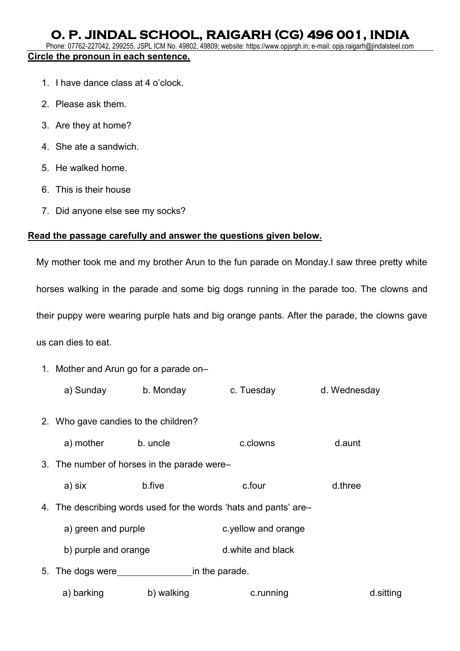Phone: 07762-227042, 299255, JSPL ICM No. 49802, 49809; website: https://www.opjsrgh.in; e-mail: opjs.raigarh@jindalsteel.com **Circle the pronoun in each sentence.** 

- 1. I have dance class at 4 o'clock.
- 2. Please ask them.
- 3. Are they at home?
- 4. She ate a sandwich.
- 5. He walked home.
- 6. This is their house
- 7. Did anyone else see my socks?

### **Read the passage carefully and answer the questions given below.**

My mother took me and my brother Arun to the fun parade on Monday.I saw three pretty white horses walking in the parade and some big dogs running in the parade too. The clowns and their puppy were wearing purple hats and big orange pants. After the parade, the clowns gave us can dies to eat.

1. Mother and Arun go for a parade on–

|    | a) Sunday                                   | b. Monday  | c. Tuesday                                                       | d. Wednesday |
|----|---------------------------------------------|------------|------------------------------------------------------------------|--------------|
|    | 2. Who gave candies to the children?        |            |                                                                  |              |
|    | a) mother                                   | b. uncle   | c.clowns                                                         | d.aunt       |
|    | 3. The number of horses in the parade were- |            |                                                                  |              |
|    | a) six                                      | b.five     | c.four                                                           | d.three      |
|    |                                             |            | 4. The describing words used for the words 'hats and pants' are- |              |
|    | a) green and purple                         |            | c.yellow and orange                                              |              |
|    | b) purple and orange                        |            | d.white and black                                                |              |
| 5. | The dogs were                               |            | in the parade.                                                   |              |
|    | a) barking                                  | b) walking | c.running                                                        | d.sitting    |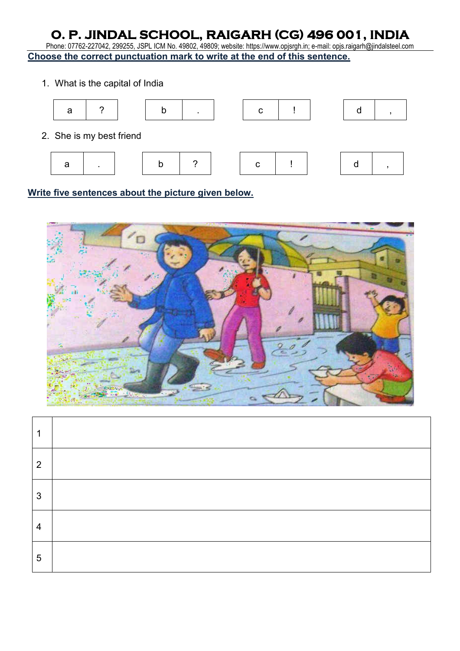Phone: 07762-227042, 299255, JSPL ICM No. 49802, 49809; website: https://www.opjsrgh.in; e-mail: opjs.raigarh@jindalsteel.com **Choose the correct punctuation mark to write at the end of this sentence.** 

1. What is the capital of India



**Write five sentences about the picture given below.** 



| ٩              |  |
|----------------|--|
| $\overline{2}$ |  |
| 3              |  |
| 4              |  |
| 5              |  |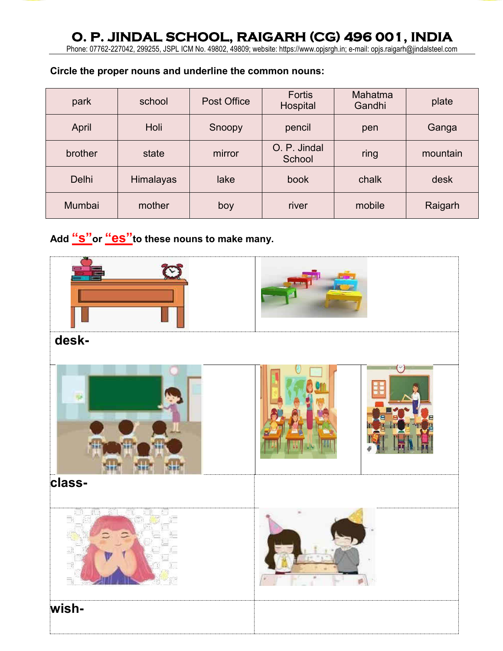Phone: 07762-227042, 299255, JSPL ICM No. 49802, 49809; website: https://www.opjsrgh.in; e-mail: opjs.raigarh@jindalsteel.com

### **Circle the proper nouns and underline the common nouns:**

| park         | school           | Post Office | Fortis<br>Hospital     | Mahatma<br>Gandhi | plate    |
|--------------|------------------|-------------|------------------------|-------------------|----------|
| April        | Holi             | Snoopy      | pencil                 | pen               |          |
| brother      | state            | mirror      | O. P. Jindal<br>School | ring              | mountain |
| <b>Delhi</b> | <b>Himalayas</b> | lake        | book                   | chalk             | desk     |
| Mumbai       | mother           | boy         | river                  | mobile            | Raigarh  |

**Add "s"or "es"to these nouns to make many.** 

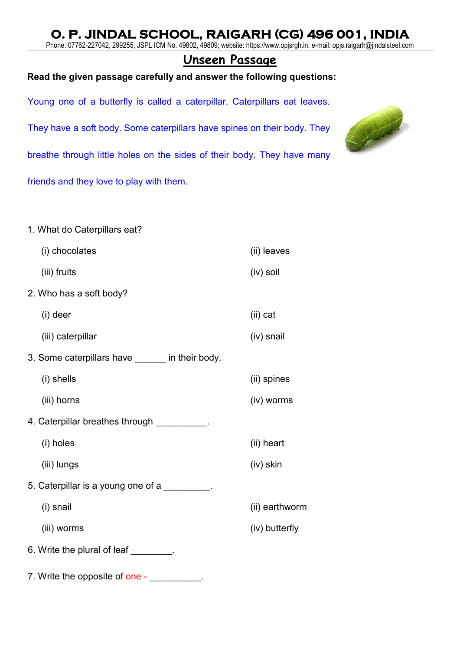Phone: 07762-227042, 299255, JSPL ICM No. 49802, 49809; website: https://www.opjsrgh.in; e-mail: opjs.raigarh@jindalsteel.com

## **Unseen Passage**

### **Read the given passage carefully and answer the following questions:**

Young one of a butterfly is called a caterpillar. Caterpillars eat leaves.

They have a soft body. Some caterpillars have spines on their body. They

breathe through little holes on the sides of their body. They have many

friends and they love to play with them.

- 1. What do Caterpillars eat?
- (i) chocolates (ii) leaves (iii) fruits (iv) soil 2. Who has a soft body? (i) deer (ii) cat (iii) caterpillar (iv) snail 3. Some caterpillars have in their body. (i) shells (ii) spines (iii) horns (iv) worms 4. Caterpillar breathes through **EXECUTE:** (i) holes (ii) heart (iii) lungs (iv) skin 5. Caterpillar is a young one of a (i) snail (ii) earthworm (iii) worms (iv) butterfly 6. Write the plural of leaf **with the plural** of leaf
- 7. Write the opposite of one -

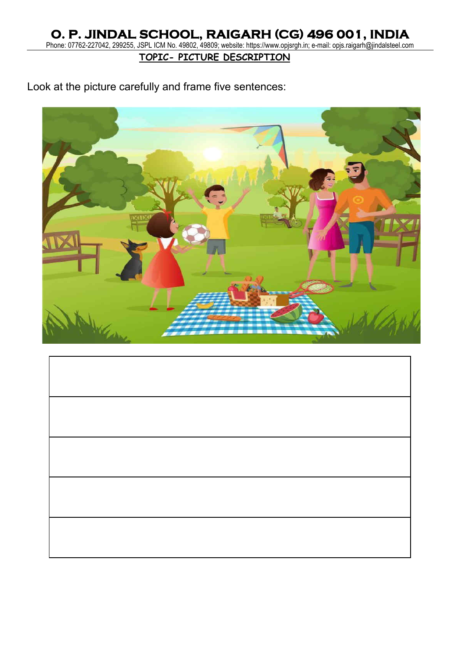Phone: 07762-227042, 299255, JSPL ICM No. 49802, 49809; website: https://www.opjsrgh.in; e-mail: opjs.raigarh@jindalsteel.com

**TOPIC- PICTURE DESCRIPTION**

Look at the picture carefully and frame five sentences:

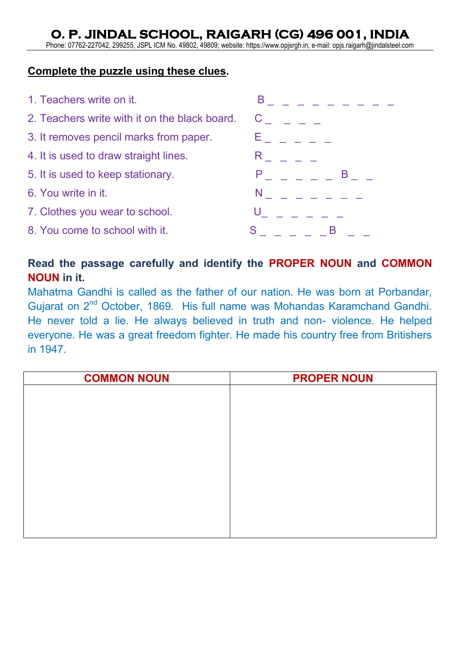Phone: 07762-227042, 299255, JSPL ICM No. 49802, 49809; website: https://www.opjsrgh.in; e-mail: opjs.raigarh@jindalsteel.com

### **Complete the puzzle using these clues.**



## **Read the passage carefully and identify the PROPER NOUN and COMMON NOUN in it.**

Mahatma Gandhi is called as the father of our nation. He was born at Porbandar, Gujarat on 2<sup>nd</sup> October, 1869. His full name was Mohandas Karamchand Gandhi. He never told a lie. He always believed in truth and non- violence. He helped everyone. He was a great freedom fighter. He made his country free from Britishers in 1947.

| <b>COMMON NOUN</b> | <b>PROPER NOUN</b> |
|--------------------|--------------------|
|                    |                    |
|                    |                    |
|                    |                    |
|                    |                    |
|                    |                    |
|                    |                    |
|                    |                    |
|                    |                    |
|                    |                    |
|                    |                    |
|                    |                    |
|                    |                    |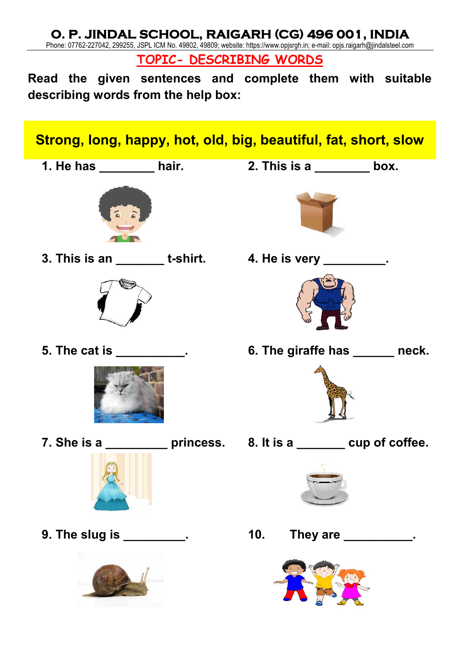Phone: 07762-227042, 299255, JSPL ICM No. 49802, 49809; website: https://www.opjsrgh.in; e-mail: opjs.raigarh@jindalsteel.com

**TOPIC- DESCRIBING WORDS** 

**Read the given sentences and complete them with suitable describing words from the help box:** 

# **Strong, long, happy, hot, old, big, beautiful, fat, short, slow**



**3. This is an \_\_\_\_\_\_\_ t-shirt. 4. He is very \_\_\_\_\_\_\_\_\_.** 















**5. The cat is 6. The giraffe has under the cat is** 



**7. She is a \_\_\_\_\_\_\_\_\_ princess. 8. It is a \_\_\_\_\_\_\_ cup of coffee.** 



**9. The slug is \_\_\_\_\_\_\_\_\_. 10. They are \_\_\_\_\_\_\_\_\_\_.** 

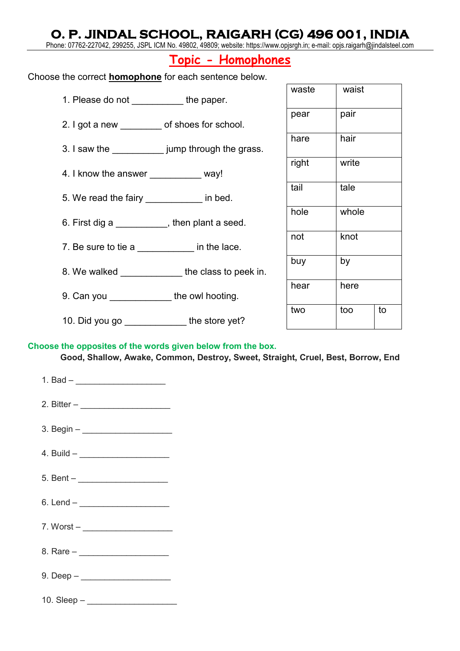Phone: 07762-227042, 299255, JSPL ICM No. 49802, 49809; website: https://www.opjsrgh.in; e-mail: opjs.raigarh@jindalsteel.com

## **Topic - Homophones**

Choose the correct **homophone** for each sentence below.

- 1. Please do not the paper.
- 2. I got a new of shoes for school.
- 3. I saw the \_\_\_\_\_\_\_\_\_\_ jump through the grass.
- 4. I know the answer \_\_\_\_\_\_\_\_\_\_\_\_ way!
- 5. We read the fairy **with the set of the fairy** in bed.
- 6. First dig a seed.
- 7. Be sure to tie a \_\_\_\_\_\_\_\_\_\_\_\_\_ in the lace.
- 8. We walked \_\_\_\_\_\_\_\_\_\_\_\_\_\_ the class to peek in.
- 9. Can you **the owl hooting.**
- 10. Did you go \_\_\_\_\_\_\_\_\_\_\_\_\_\_\_ the store yet?

| waste | waist     |  |  |  |  |
|-------|-----------|--|--|--|--|
| pear  | pair      |  |  |  |  |
| hare  | hair      |  |  |  |  |
| right | write     |  |  |  |  |
| tail  | tale      |  |  |  |  |
| hole  | whole     |  |  |  |  |
| not   | knot      |  |  |  |  |
| buy   | by        |  |  |  |  |
| hear  | here      |  |  |  |  |
| two   | too<br>to |  |  |  |  |

### **Choose the opposites of the words given below from the box.**

**Good, Shallow, Awake, Common, Destroy, Sweet, Straight, Cruel, Best, Borrow, End** 

| 2. Bitter – _______________________ |
|-------------------------------------|
|                                     |
|                                     |
|                                     |
|                                     |
|                                     |
|                                     |
|                                     |
|                                     |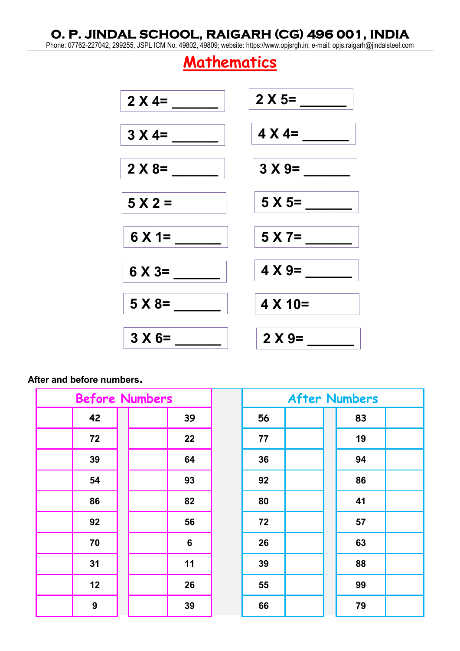Phone: 07762-227042, 299255, JSPL ICM No. 49802, 49809; website: https://www.opjsrgh.in; e-mail: opjs.raigarh@jindalsteel.com

# **Mathematics**



### **After and before numbers.**

| <b>Before Numbers</b> |    |  |         |    | <b>After Numbers</b> |    |  |
|-----------------------|----|--|---------|----|----------------------|----|--|
|                       | 42 |  | 39      | 56 |                      | 83 |  |
|                       | 72 |  | 22      | 77 |                      | 19 |  |
|                       | 39 |  | 64      | 36 |                      | 94 |  |
|                       | 54 |  | 93      | 92 |                      | 86 |  |
|                       | 86 |  | 82      | 80 |                      | 41 |  |
|                       | 92 |  | 56      | 72 |                      | 57 |  |
|                       | 70 |  | $\bf 6$ | 26 |                      | 63 |  |
|                       | 31 |  | 11      | 39 |                      | 88 |  |
|                       | 12 |  | 26      | 55 |                      | 99 |  |
|                       | 9  |  | 39      | 66 |                      | 79 |  |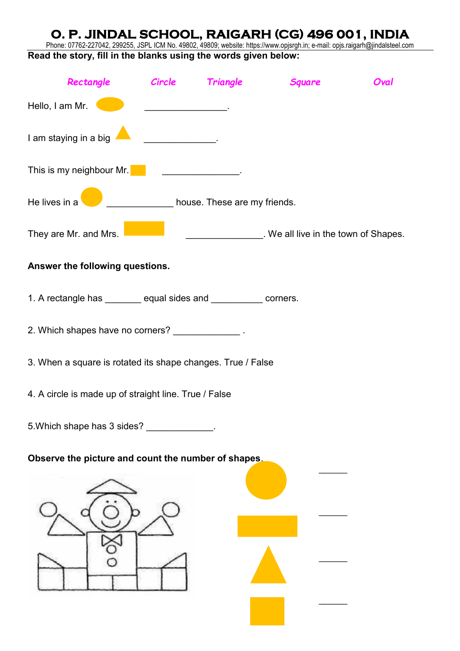Phone: 07762-227042, 299255, JSPL ICM No. 49802, 49809; website: https://www.opjsrgh.in; e-mail: opjs.raigarh@jindalsteel.com **Read the story, fill in the blanks using the words given below:** 

| Rectangle Circle Triangle                                                                                            |                              | <b>Square</b>                                            | Oval |
|----------------------------------------------------------------------------------------------------------------------|------------------------------|----------------------------------------------------------|------|
| Hello, I am Mr.                                                                                                      |                              |                                                          |      |
| I am staying in a big                                                                                                |                              |                                                          |      |
| This is my neighbour Mr. <b>Constant of the Constant of This is my neighbour Mr. Constant of the Constant Orient</b> |                              |                                                          |      |
| He lives in a                                                                                                        | house. These are my friends. |                                                          |      |
| They are Mr. and Mrs.                                                                                                |                              | ____________________. We all live in the town of Shapes. |      |
| Answer the following questions.                                                                                      |                              |                                                          |      |
| 1. A rectangle has _______ equal sides and __________ corners.                                                       |                              |                                                          |      |
| 2. Which shapes have no corners? _____________.                                                                      |                              |                                                          |      |
| 3. When a square is rotated its shape changes. True / False                                                          |                              |                                                          |      |
| 4. A circle is made up of straight line. True / False                                                                |                              |                                                          |      |
| 5. Which shape has 3 sides? _____________.                                                                           |                              |                                                          |      |
| Observe the picture and count the number of shapes.                                                                  |                              |                                                          |      |
|                                                                                                                      |                              |                                                          |      |
|                                                                                                                      |                              |                                                          |      |
|                                                                                                                      |                              |                                                          |      |
|                                                                                                                      |                              |                                                          |      |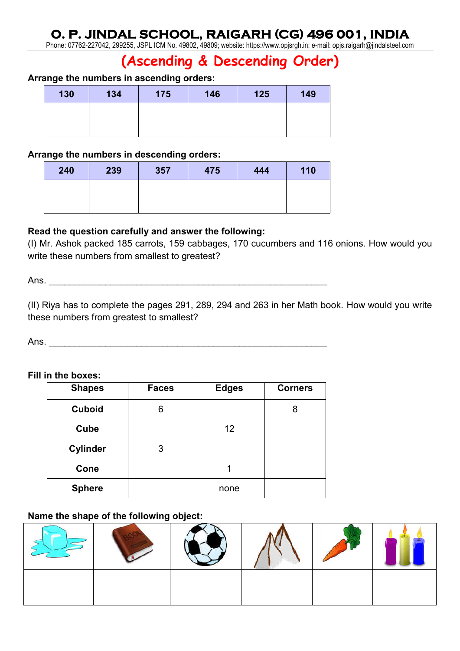Phone: 07762-227042, 299255, JSPL ICM No. 49802, 49809; website: https://www.opjsrgh.in; e-mail: opjs.raigarh@jindalsteel.com

# **(Ascending & Descending Order)**

### **Arrange the numbers in ascending orders:**

| 130 | 134 | 175 | 146 | 125 | 149 |
|-----|-----|-----|-----|-----|-----|
|     |     |     |     |     |     |
|     |     |     |     |     |     |

### **Arrange the numbers in descending orders:**

| 240 | 239 | 357 | 475 | 444 | 110 |
|-----|-----|-----|-----|-----|-----|
|     |     |     |     |     |     |
|     |     |     |     |     |     |

### **Read the question carefully and answer the following:**

(I) Mr. Ashok packed 185 carrots, 159 cabbages, 170 cucumbers and 116 onions. How would you write these numbers from smallest to greatest?

Ans.

(II) Riya has to complete the pages 291, 289, 294 and 263 in her Math book. How would you write these numbers from greatest to smallest?

Ans.

### **Fill in the boxes:**

| <b>Shapes</b>   | <b>Faces</b> | <b>Edges</b> | <b>Corners</b> |
|-----------------|--------------|--------------|----------------|
| <b>Cuboid</b>   | 6            |              | 8              |
| Cube            |              | 12           |                |
| <b>Cylinder</b> | 3            |              |                |
| Cone            |              |              |                |
| <b>Sphere</b>   |              | none         |                |

### **Name the shape of the following object:**